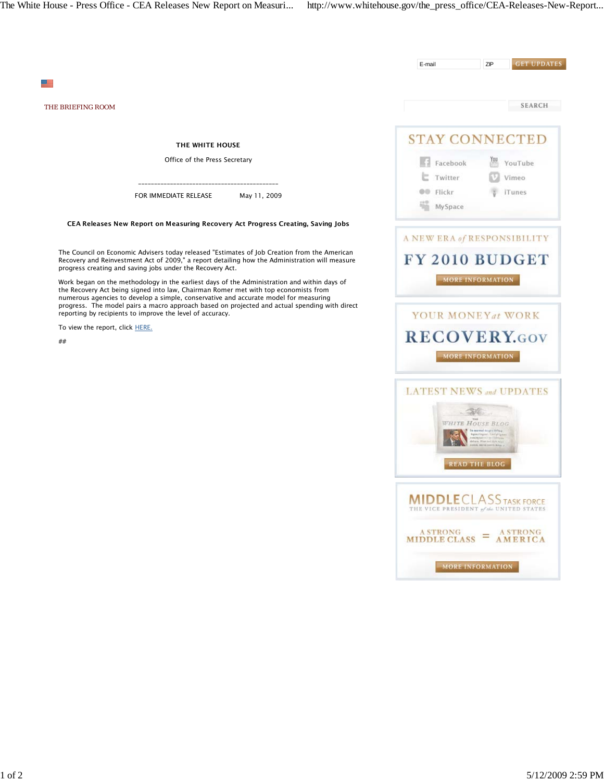|                                                                                                                                                                                                                                                                            | E-mail                                                                                               | ZIP                     | <b>GET UPDATES</b> |
|----------------------------------------------------------------------------------------------------------------------------------------------------------------------------------------------------------------------------------------------------------------------------|------------------------------------------------------------------------------------------------------|-------------------------|--------------------|
|                                                                                                                                                                                                                                                                            |                                                                                                      |                         |                    |
| <b>THE BRIEFING ROOM</b>                                                                                                                                                                                                                                                   |                                                                                                      |                         | <b>SEARCH</b>      |
| THE WHITE HOUSE                                                                                                                                                                                                                                                            | <b>STAY CONNECTED</b>                                                                                |                         |                    |
| Office of the Press Secretary                                                                                                                                                                                                                                              | Facebook                                                                                             |                         | YouTube            |
|                                                                                                                                                                                                                                                                            | Twitter                                                                                              |                         | Vimeo              |
| FOR IMMEDIATE RELEASE<br>May 11, 2009                                                                                                                                                                                                                                      | <b>OD</b> Flickr<br>MySpace                                                                          |                         | iTunes             |
| CEA Releases New Report on Measuring Recovery Act Progress Creating, Saving Jobs                                                                                                                                                                                           |                                                                                                      |                         |                    |
|                                                                                                                                                                                                                                                                            | A NEW ERA of RESPONSIBILITY                                                                          |                         |                    |
| The Council on Economic Advisers today released "Estimates of Job Creation from the American<br>Recovery and Reinvestment Act of 2009," a report detailing how the Administration will measure<br>progress creating and saving jobs under the Recovery Act.                | FY 2010 BUDGET                                                                                       |                         |                    |
| Work began on the methodology in the earliest days of the Administration and within days of<br>the Recovery Act being signed into law, Chairman Romer met with top economists from<br>numerous agencies to develop a simple, conservative and accurate model for measuring |                                                                                                      | MORE INFORMATION        |                    |
| progress. The model pairs a macro approach based on projected and actual spending with direct<br>reporting by recipients to improve the level of accuracy.                                                                                                                 | YOUR MONEYat WORK                                                                                    |                         |                    |
| To view the report, click HERE.                                                                                                                                                                                                                                            | <b>RECOVERY.GOV</b>                                                                                  |                         |                    |
| ##                                                                                                                                                                                                                                                                         |                                                                                                      | MORE INFORMATION        |                    |
|                                                                                                                                                                                                                                                                            |                                                                                                      |                         |                    |
|                                                                                                                                                                                                                                                                            | <b>LATEST NEWS and UPDATES</b>                                                                       |                         |                    |
|                                                                                                                                                                                                                                                                            |                                                                                                      |                         |                    |
|                                                                                                                                                                                                                                                                            |                                                                                                      | <b>WHITE HOUSE BLOG</b> |                    |
|                                                                                                                                                                                                                                                                            |                                                                                                      |                         |                    |
|                                                                                                                                                                                                                                                                            |                                                                                                      | <b>READ THE BLOG</b>    |                    |
|                                                                                                                                                                                                                                                                            |                                                                                                      |                         |                    |
|                                                                                                                                                                                                                                                                            | <b>MIDDLE</b> CLASS TASK FORCE<br>VICE PRESIDENT of the UNITED ST                                    |                         |                    |
|                                                                                                                                                                                                                                                                            | $\frac{A \, \text{STRONG}}{M \, \text{IDDLE CLASS}} = \frac{A \, \text{STRONG}}{A \, \text{MERICA}}$ |                         |                    |
|                                                                                                                                                                                                                                                                            |                                                                                                      |                         |                    |
|                                                                                                                                                                                                                                                                            |                                                                                                      | MORE INFORMATION        |                    |
|                                                                                                                                                                                                                                                                            |                                                                                                      |                         |                    |
|                                                                                                                                                                                                                                                                            |                                                                                                      |                         |                    |